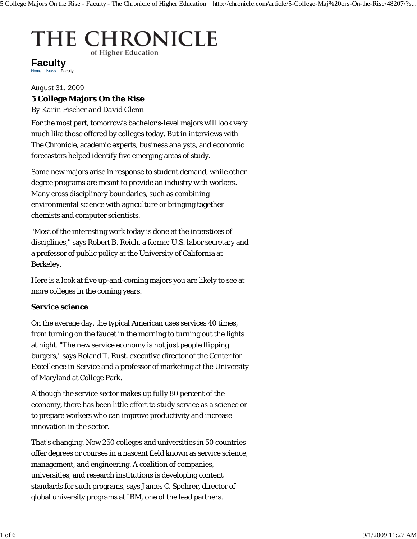# THE CHRONICLE of Higher Education

Home News Faculty **Faculty**

## August 31, 2009

### **5 College Majors On the Rise**

*By Karin Fischer and David Glenn*

For the most part, tomorrow's bachelor's-level majors will look very much like those offered by colleges today. But in interviews with *The Chronicle,* academic experts, business analysts, and economic forecasters helped identify five emerging areas of study.

Some new majors arise in response to student demand, while other degree programs are meant to provide an industry with workers. Many cross disciplinary boundaries, such as combining environmental science with agriculture or bringing together chemists and computer scientists.

"Most of the interesting work today is done at the interstices of disciplines," says Robert B. Reich, a former U.S. labor secretary and a professor of public policy at the University of California at Berkeley.

Here is a look at five up-and-coming majors you are likely to see at more colleges in the coming years.

#### **Service science**

On the average day, the typical American uses services 40 times, from turning on the faucet in the morning to turning out the lights at night. "The new service economy is not just people flipping burgers," says Roland T. Rust, executive director of the Center for Excellence in Service and a professor of marketing at the University of Maryland at College Park.

Although the service sector makes up fully 80 percent of the economy, there has been little effort to study service as a science or to prepare workers who can improve productivity and increase innovation in the sector.

That's changing. Now 250 colleges and universities in 50 countries offer degrees or courses in a nascent field known as service science, management, and engineering. A coalition of companies, universities, and research institutions is developing content standards for such programs, says James C. Spohrer, director of global university programs at IBM, one of the lead partners.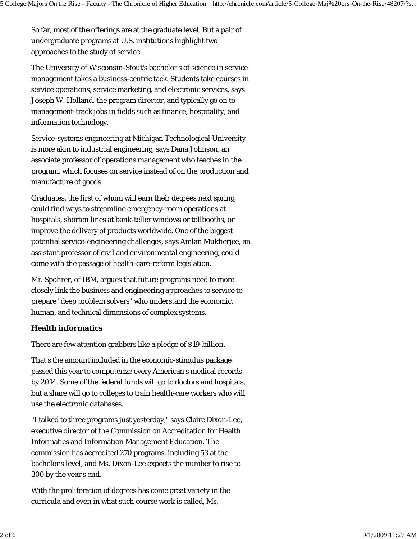So far, most of the offerings are at the graduate level. But a pair of undergraduate programs at U.S. institutions highlight two approaches to the study of service.

The University of Wisconsin-Stout's bachelor's of science in service management takes a business-centric tack. Students take courses in service operations, service marketing, and electronic services, says Joseph W. Holland, the program director, and typically go on to management-track jobs in fields such as finance, hospitality, and information technology.

Service-systems engineering at Michigan Technological University is more akin to industrial engineering, says Dana Johnson, an associate professor of operations management who teaches in the program, which focuses on service instead of on the production and manufacture of goods.

Graduates, the first of whom will earn their degrees next spring, could find ways to streamline emergency-room operations at hospitals, shorten lines at bank-teller windows or tollbooths, or improve the delivery of products worldwide. One of the biggest potential service-engineering challenges, says Amlan Mukherjee, an assistant professor of civil and environmental engineering, could come with the passage of health-care-reform legislation.

Mr. Spohrer, of IBM, argues that future programs need to more closely link the business and engineering approaches to service to prepare "deep problem solvers" who understand the economic, human, and technical dimensions of complex systems.

#### **Health informatics**

There are few attention grabbers like a pledge of \$19-billion.

That's the amount included in the economic-stimulus package passed this year to computerize every American's medical records by 2014. Some of the federal funds will go to doctors and hospitals, but a share will go to colleges to train health-care workers who will use the electronic databases.

"I talked to three programs just yesterday," says Claire Dixon-Lee, executive director of the Commission on Accreditation for Health Informatics and Information Management Education. The commission has accredited 270 programs, including 53 at the bachelor's level, and Ms. Dixon-Lee expects the number to rise to 300 by the year's end.

With the proliferation of degrees has come great variety in the curricula and even in what such course work is called, Ms.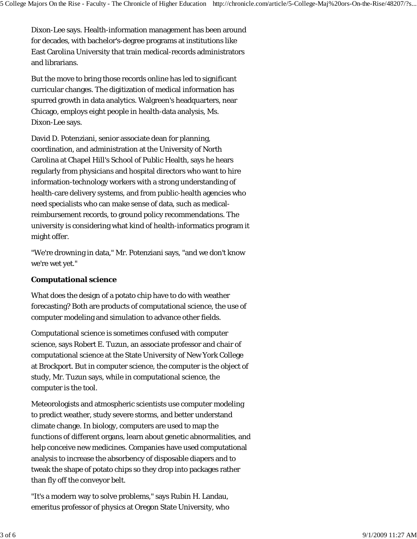Dixon-Lee says. Health-information management has been around for decades, with bachelor's-degree programs at institutions like East Carolina University that train medical-records administrators and librarians.

But the move to bring those records online has led to significant curricular changes. The digitization of medical information has spurred growth in data analytics. Walgreen's headquarters, near Chicago, employs eight people in health-data analysis, Ms. Dixon-Lee says.

David D. Potenziani, senior associate dean for planning, coordination, and administration at the University of North Carolina at Chapel Hill's School of Public Health, says he hears regularly from physicians and hospital directors who want to hire information-technology workers with a strong understanding of health-care delivery systems, and from public-health agencies who need specialists who can make sense of data, such as medicalreimbursement records, to ground policy recommendations. The university is considering what kind of health-informatics program it might offer.

"We're drowning in data," Mr. Potenziani says, "and we don't know we're wet yet."

## **Computational science**

What does the design of a potato chip have to do with weather forecasting? Both are products of computational science, the use of computer modeling and simulation to advance other fields.

Computational science is sometimes confused with computer science, says Robert E. Tuzun, an associate professor and chair of computational science at the State University of New York College at Brockport. But in computer science, the computer is the object of study, Mr. Tuzun says, while in computational science, the computer is the tool.

Meteorologists and atmospheric scientists use computer modeling to predict weather, study severe storms, and better understand climate change. In biology, computers are used to map the functions of different organs, learn about genetic abnormalities, and help conceive new medicines. Companies have used computational analysis to increase the absorbency of disposable diapers and to tweak the shape of potato chips so they drop into packages rather than fly off the conveyor belt.

"It's a modern way to solve problems," says Rubin H. Landau, emeritus professor of physics at Oregon State University, who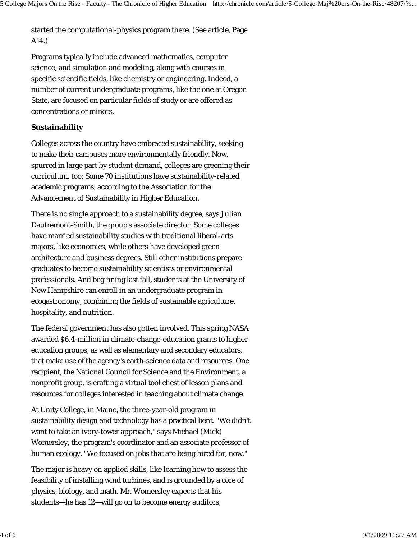started the computational-physics program there. (See article, Page A14.)

Programs typically include advanced mathematics, computer science, and simulation and modeling, along with courses in specific scientific fields, like chemistry or engineering. Indeed, a number of current undergraduate programs, like the one at Oregon State, are focused on particular fields of study or are offered as concentrations or minors.

#### **Sustainability**

Colleges across the country have embraced sustainability, seeking to make their campuses more environmentally friendly. Now, spurred in large part by student demand, colleges are greening their curriculum, too: Some 70 institutions have sustainability-related academic programs, according to the Association for the Advancement of Sustainability in Higher Education.

There is no single approach to a sustainability degree, says Julian Dautremont-Smith, the group's associate director. Some colleges have married sustainability studies with traditional liberal-arts majors, like economics, while others have developed green architecture and business degrees. Still other institutions prepare graduates to become sustainability scientists or environmental professionals. And beginning last fall, students at the University of New Hampshire can enroll in an undergraduate program in ecogastronomy, combining the fields of sustainable agriculture, hospitality, and nutrition.

The federal government has also gotten involved. This spring NASA awarded \$6.4-million in climate-change-education grants to highereducation groups, as well as elementary and secondary educators, that make use of the agency's earth-science data and resources. One recipient, the National Council for Science and the Environment, a nonprofit group, is crafting a virtual tool chest of lesson plans and resources for colleges interested in teaching about climate change.

At Unity College, in Maine, the three-year-old program in sustainability design and technology has a practical bent. "We didn't want to take an ivory-tower approach," says Michael (Mick) Womersley, the program's coordinator and an associate professor of human ecology. "We focused on jobs that are being hired for, now."

The major is heavy on applied skills, like learning how to assess the feasibility of installing wind turbines, and is grounded by a core of physics, biology, and math. Mr. Womersley expects that his students—he has 12—will go on to become energy auditors,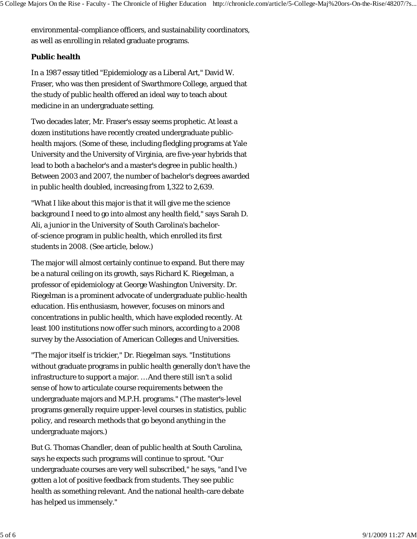environmental-compliance officers, and sustainability coordinators, as well as enrolling in related graduate programs.

#### **Public health**

In a 1987 essay titled "Epidemiology as a Liberal Art," David W. Fraser, who was then president of Swarthmore College, argued that the study of public health offered an ideal way to teach about medicine in an undergraduate setting.

Two decades later, Mr. Fraser's essay seems prophetic. At least a dozen institutions have recently created undergraduate publichealth majors. (Some of these, including fledgling programs at Yale University and the University of Virginia, are five-year hybrids that lead to both a bachelor's and a master's degree in public health.) Between 2003 and 2007, the number of bachelor's degrees awarded in public health doubled, increasing from 1,322 to 2,639.

"What I like about this major is that it will give me the science background I need to go into almost any health field," says Sarah D. Ali, a junior in the University of South Carolina's bachelorof-science program in public health, which enrolled its first students in 2008. (See article, below.)

The major will almost certainly continue to expand. But there may be a natural ceiling on its growth, says Richard K. Riegelman, a professor of epidemiology at George Washington University. Dr. Riegelman is a prominent advocate of undergraduate public-health education. His enthusiasm, however, focuses on minors and concentrations in public health, which have exploded recently. At least 100 institutions now offer such minors, according to a 2008 survey by the Association of American Colleges and Universities.

"The major itself is trickier," Dr. Riegelman says. "Institutions without graduate programs in public health generally don't have the infrastructure to support a major. … And there still isn't a solid sense of how to articulate course requirements between the undergraduate majors and M.P.H. programs." (The master's-level programs generally require upper-level courses in statistics, public policy, and research methods that go beyond anything in the undergraduate majors.)

But G. Thomas Chandler, dean of public health at South Carolina, says he expects such programs will continue to sprout. "Our undergraduate courses are very well subscribed," he says, "and I've gotten a lot of positive feedback from students. They see public health as something relevant. And the national health-care debate has helped us immensely."